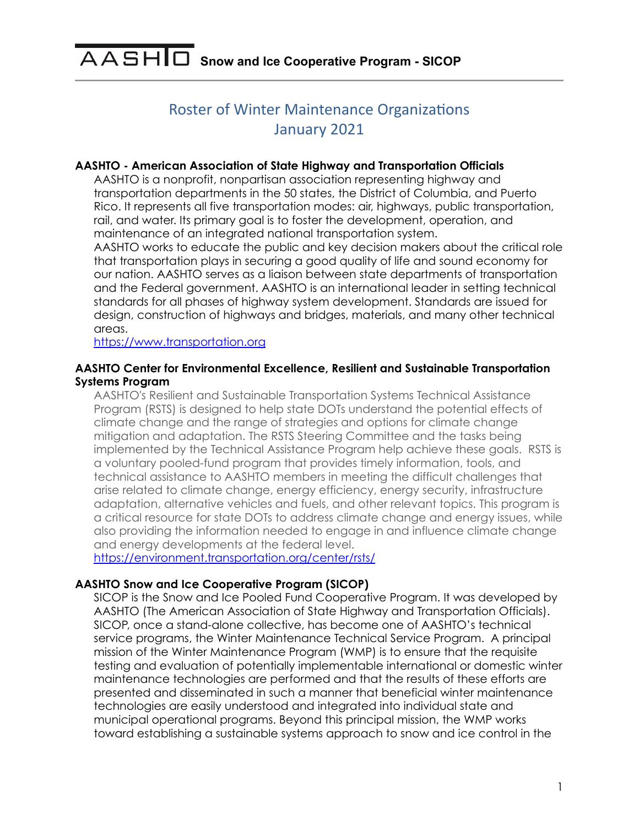# **Roster of Winter Maintenance Organizations** January 2021

### **AASHTO - American Association of State Highway and Transportation Officials**

AASHTO is a nonprofit, nonpartisan association representing highway and transportation departments in the 50 states, the District of Columbia, and Puerto Rico. It represents all five transportation modes: air, highways, public transportation, rail, and water. Its primary goal is to foster the development, operation, and maintenance of an integrated national transportation system.

AASHTO works to educate the public and key decision makers about the critical role that transportation plays in securing a good quality of life and sound economy for our nation. AASHTO serves as a liaison between state departments of transportation and the Federal government. AASHTO is an international leader in setting technical standards for all phases of highway system development. Standards are issued for design, construction of highways and bridges, materials, and many other technical areas.

<https://www.transportation.org>

ı

### **AASHTO Center for Environmental Excellence, Resilient and Sustainable Transportation Systems Program**

AASHTO's Resilient and Sustainable Transportation Systems Technical Assistance Program (RSTS) is designed to help state DOTs understand the potential effects of climate change and the range of strategies and options for climate change mitigation and adaptation. The RSTS Steering Committee and the tasks being implemented by the Technical Assistance Program help achieve these goals. RSTS is a voluntary pooled-fund program that provides timely information, tools, and technical assistance to AASHTO members in meeting the difficult challenges that arise related to climate change, energy efficiency, energy security, infrastructure adaptation, alternative vehicles and fuels, and other relevant topics. This program is a critical resource for state DOTs to address climate change and energy issues, while also providing the information needed to engage in and influence climate change and energy developments at the federal level.

<https://environment.transportation.org/center/rsts/>

#### **AASHTO Snow and Ice Cooperative Program (SICOP)**

SICOP is the Snow and Ice Pooled Fund Cooperative Program. It was developed by AASHTO (The American Association of State Highway and Transportation Officials). SICOP, once a stand-alone collective, has become one of AASHTO's technical service programs, the Winter Maintenance Technical Service Program. A principal mission of the Winter Maintenance Program (WMP) is to ensure that the requisite testing and evaluation of potentially implementable international or domestic winter maintenance technologies are performed and that the results of these efforts are presented and disseminated in such a manner that beneficial winter maintenance technologies are easily understood and integrated into individual state and municipal operational programs. Beyond this principal mission, the WMP works toward establishing a sustainable systems approach to snow and ice control in the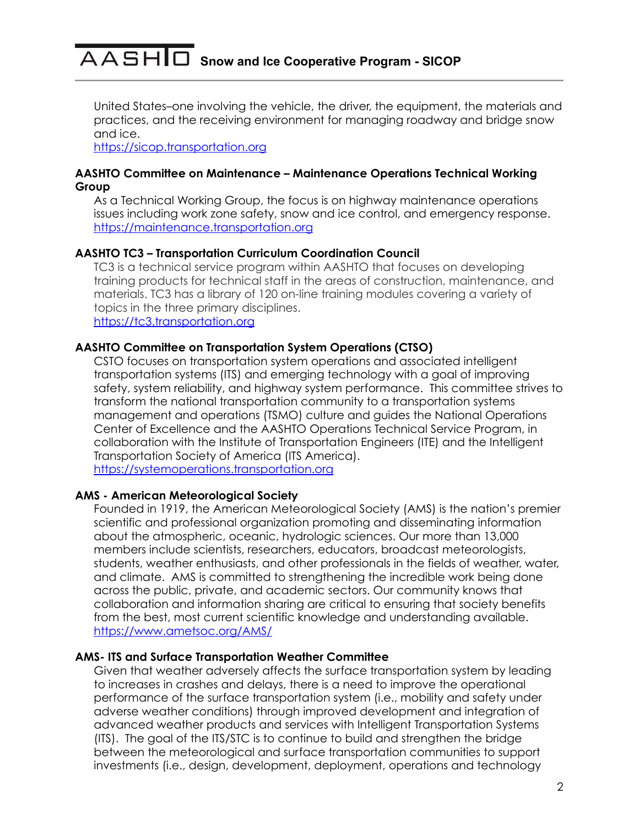United States–one involving the vehicle, the driver, the equipment, the materials and practices, and the receiving environment for managing roadway and bridge snow and ice.

<https://sicop.transportation.org>

### **AASHTO Committee on Maintenance – Maintenance Operations Technical Working Group**

As a Technical Working Group, the focus is on highway maintenance operations issues including work zone safety, snow and ice control, and emergency response. <https://maintenance.transportation.org>

# **AASHTO TC3 – Transportation Curriculum Coordination Council**

TC3 is a technical service program within AASHTO that focuses on developing training products for technical staff in the areas of construction, maintenance, and materials. TC3 has a library of 120 on-line training modules covering a variety of topics in the three primary disciplines. <https://tc3.transportation.org>

# **AASHTO Committee on Transportation System Operations (CTSO)**

CSTO focuses on transportation system operations and associated intelligent transportation systems (ITS) and emerging technology with a goal of improving safety, system reliability, and highway system performance. This committee strives to transform the national transportation community to a transportation systems management and operations (TSMO) culture and guides the National Operations Center of Excellence and the AASHTO Operations Technical Service Program, in collaboration with the Institute of Transportation Engineers (ITE) and the Intelligent Transportation Society of America (ITS America). <https://systemoperations.transportation.org>

# **AMS - American Meteorological Society**

Founded in 1919, the American Meteorological Society (AMS) is the nation's premier scientific and professional organization promoting and disseminating information about the atmospheric, oceanic, hydrologic sciences. Our more than 13,000 members include scientists, researchers, educators, broadcast meteorologists, students, weather enthusiasts, and other professionals in the fields of weather, water, and climate. AMS is committed to strengthening the incredible work being done across the public, private, and academic sectors. Our community knows that collaboration and information sharing are critical to ensuring that society benefits from the best, most current scientific knowledge and understanding available. <https://www.ametsoc.org/AMS/>

# **AMS- ITS and Surface Transportation Weather Committee**

Given that weather adversely affects the surface transportation system by leading to increases in crashes and delays, there is a need to improve the operational performance of the surface transportation system (i.e., mobility and safety under adverse weather conditions) through improved development and integration of advanced weather products and services with Intelligent Transportation Systems (ITS). The goal of the ITS/STC is to continue to build and strengthen the bridge between the meteorological and surface transportation communities to support investments (i.e., design, development, deployment, operations and technology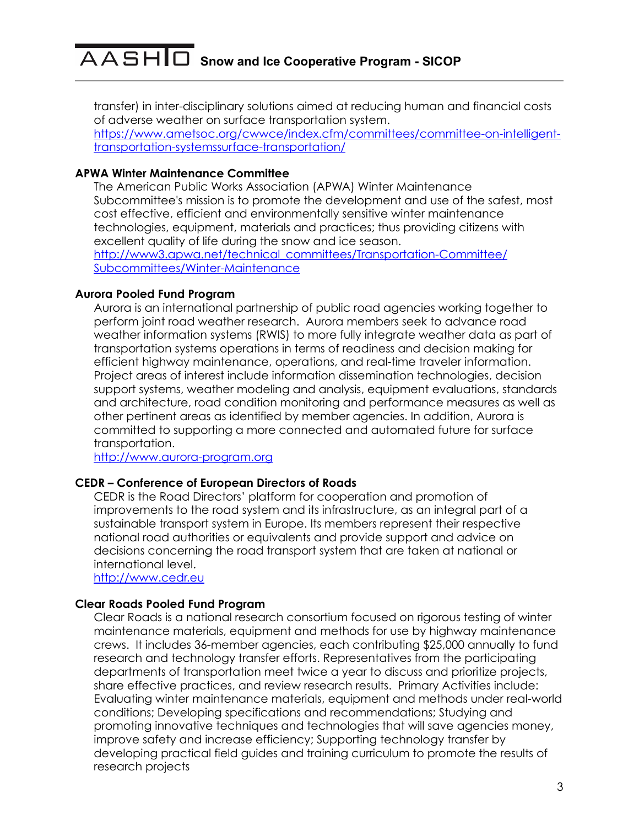transfer) in inter-disciplinary solutions aimed at reducing human and financial costs of adverse weather on surface transportation system. [https://www.ametsoc.org/cwwce/index.cfm/committees/committee-on-intelligent](https://www.ametsoc.org/cwwce/index.cfm/committees/committee-on-intelligent-transportation-systemssurface-transportation/)[transportation-systemssurface-transportation/](https://www.ametsoc.org/cwwce/index.cfm/committees/committee-on-intelligent-transportation-systemssurface-transportation/)

### **APWA Winter Maintenance Committee**

The American Public Works Association (APWA) Winter Maintenance Subcommittee's mission is to promote the development and use of the safest, most cost effective, efficient and environmentally sensitive winter maintenance technologies, equipment, materials and practices; thus providing citizens with excellent quality of life during the snow and ice season. [http://www3.apwa.net/technical\\_committees/Transportation-Committee/](http://www3.apwa.net/technical_committees/Transportation-Committee/Subcommittees/Winter-Maintenance) [Subcommittees/Winter-Maintenance](http://www3.apwa.net/technical_committees/Transportation-Committee/Subcommittees/Winter-Maintenance)

### **Aurora Pooled Fund Program**

Aurora is an international partnership of public road agencies working together to perform joint road weather research. Aurora members seek to advance road weather information systems (RWIS) to more fully integrate weather data as part of transportation systems operations in terms of readiness and decision making for efficient highway maintenance, operations, and real-time traveler information. Project areas of interest include information dissemination technologies, decision support systems, weather modeling and analysis, equipment evaluations, standards and architecture, road condition monitoring and performance measures as well as other pertinent areas as identified by member agencies. In addition, Aurora is committed to supporting a more connected and automated future for surface transportation.

<http://www.aurora-program.org>

### **CEDR – Conference of European Directors of Roads**

CEDR is the Road Directors' platform for cooperation and promotion of improvements to the road system and its infrastructure, as an integral part of a sustainable transport system in Europe. Its members represent their respective national road authorities or equivalents and provide support and advice on decisions concerning the road transport system that are taken at national or international level.

<http://www.cedr.eu>

### **Clear Roads Pooled Fund Program**

Clear Roads is a national research consortium focused on rigorous testing of winter maintenance materials, equipment and methods for use by highway maintenance crews. It includes 36-member agencies, each contributing \$25,000 annually to fund research and technology transfer efforts. Representatives from the participating departments of transportation meet twice a year to discuss and prioritize projects, share effective practices, and review research results. Primary Activities include: Evaluating winter maintenance materials, equipment and methods under real-world conditions; Developing specifications and recommendations; Studying and promoting innovative techniques and technologies that will save agencies money, improve safety and increase efficiency; Supporting technology transfer by developing practical field guides and training curriculum to promote the results of research projects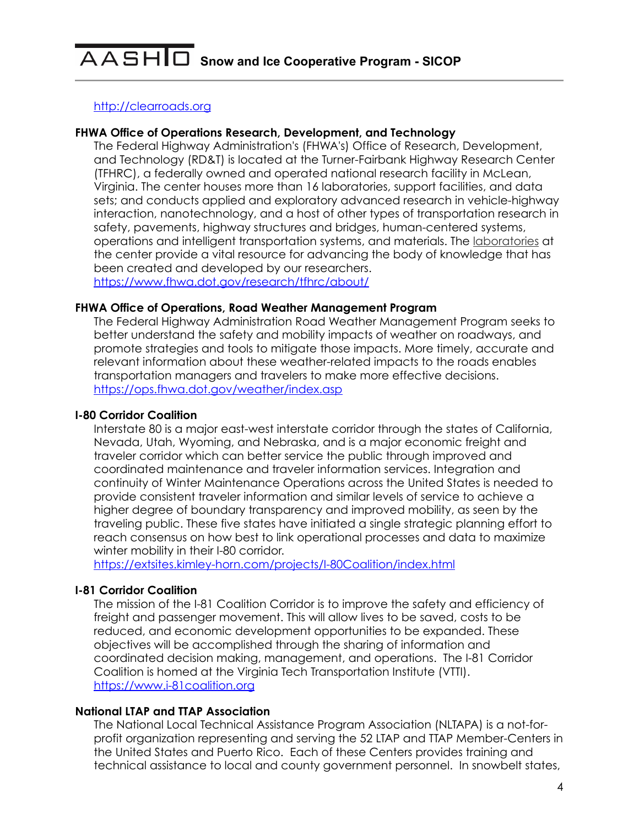### <http://clearroads.org>

### **FHWA Office of Operations Research, Development, and Technology**

The Federal Highway Administration's (FHWA's) Office of Research, Development, and Technology (RD&T) is located at the Turner-Fairbank Highway Research Center (TFHRC), a federally owned and operated national research facility in McLean, Virginia. The center houses more than 16 laboratories, support facilities, and data sets; and conducts applied and exploratory advanced research in vehicle-highway interaction, nanotechnology, and a host of other types of transportation research in safety, pavements, highway structures and bridges, human-centered systems, operations and intelligent transportation systems, and materials. The [laboratories](https://www.fhwa.dot.gov/research/tfhrc/labs/) at the center provide a vital resource for advancing the body of knowledge that has been created and developed by our researchers. <https://www.fhwa.dot.gov/research/tfhrc/about/>

#### **FHWA Office of Operations, Road Weather Management Program**

The Federal Highway Administration Road Weather Management Program seeks to better understand the safety and mobility impacts of weather on roadways, and promote strategies and tools to mitigate those impacts. More timely, accurate and relevant information about these weather-related impacts to the roads enables transportation managers and travelers to make more effective decisions. <https://ops.fhwa.dot.gov/weather/index.asp>

#### **I-80 Corridor Coalition**

Interstate 80 is a major east-west interstate corridor through the states of California, Nevada, Utah, Wyoming, and Nebraska, and is a major economic freight and traveler corridor which can better service the public through improved and coordinated maintenance and traveler information services. Integration and continuity of Winter Maintenance Operations across the United States is needed to provide consistent traveler information and similar levels of service to achieve a higher degree of boundary transparency and improved mobility, as seen by the traveling public. These five states have initiated a single strategic planning effort to reach consensus on how best to link operational processes and data to maximize winter mobility in their I-80 corridor.

<https://extsites.kimley-horn.com/projects/I-80Coalition/index.html>

#### **I-81 Corridor Coalition**

The mission of the I-81 Coalition Corridor is to improve the safety and efficiency of freight and passenger movement. This will allow lives to be saved, costs to be reduced, and economic development opportunities to be expanded. These objectives will be accomplished through the sharing of information and coordinated decision making, management, and operations. The I-81 Corridor Coalition is homed at the Virginia Tech Transportation Institute (VTTI). <https://www.i-81coalition.org>

#### **National LTAP and TTAP Association**

The National Local Technical Assistance Program Association (NLTAPA) is a not-forprofit organization representing and serving the 52 LTAP and TTAP Member-Centers in the United States and Puerto Rico. Each of these Centers provides training and technical assistance to local and county government personnel. In snowbelt states,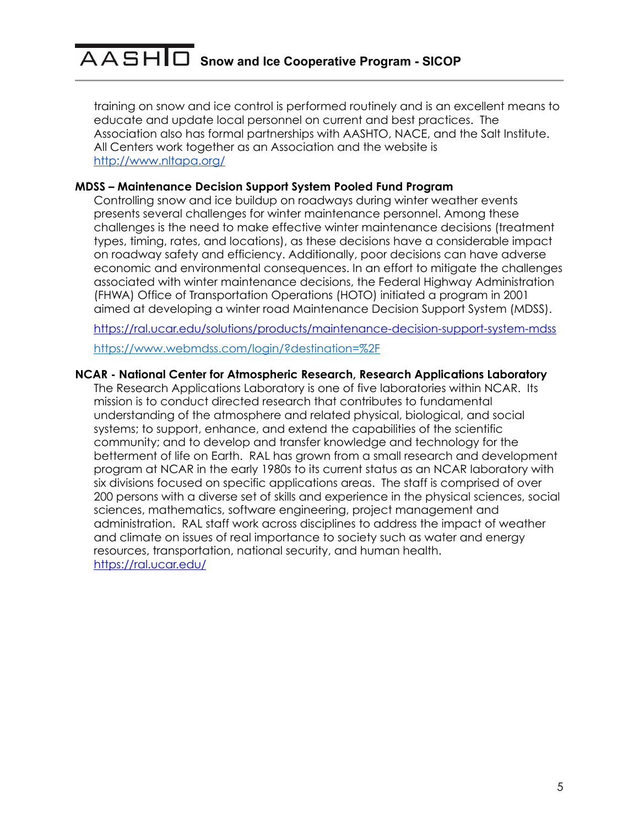training on snow and ice control is performed routinely and is an excellent means to educate and update local personnel on current and best practices. The Association also has formal partnerships with AASHTO, NACE, and the Salt Institute. All Centers work together as an Association and the website is <http://www.nltapa.org/>

### **MDSS – Maintenance Decision Support System Pooled Fund Program**

Controlling snow and ice buildup on roadways during winter weather events presents several challenges for winter maintenance personnel. Among these challenges is the need to make effective winter maintenance decisions (treatment types, timing, rates, and locations), as these decisions have a considerable impact on roadway safety and efficiency. Additionally, poor decisions can have adverse economic and environmental consequences. In an effort to mitigate the challenges associated with winter maintenance decisions, the Federal Highway Administration (FHWA) Office of Transportation Operations (HOTO) initiated a program in 2001 aimed at developing a winter road Maintenance Decision Support System (MDSS).

<https://ral.ucar.edu/solutions/products/maintenance-decision-support-system-mdss> https://www.webmdss.com/login/?destination=%2F

# **NCAR - National Center for Atmospheric Research, Research Applications Laboratory**

The Research Applications Laboratory is one of five laboratories within NCAR. Its mission is to conduct directed research that contributes to fundamental understanding of the atmosphere and related physical, biological, and social systems; to support, enhance, and extend the capabilities of the scientific community; and to develop and transfer knowledge and technology for the betterment of life on Earth. RAL has grown from a small research and development program at NCAR in the early 1980s to its current status as an NCAR laboratory with six divisions focused on specific applications areas. The staff is comprised of over 200 persons with a diverse set of skills and experience in the physical sciences, social sciences, mathematics, software engineering, project management and administration. RAL staff work across disciplines to address the impact of weather and climate on issues of real importance to society such as water and energy resources, transportation, national security, and human health. <https://ral.ucar.edu/>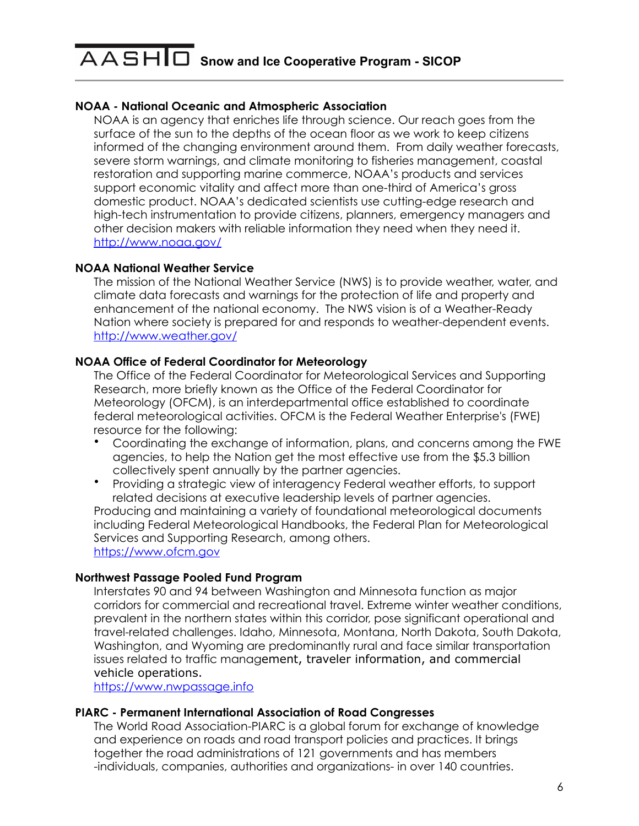# **NOAA - National Oceanic and Atmospheric Association**

NOAA is an agency that enriches life through science. Our reach goes from the surface of the sun to the depths of the ocean floor as we work to keep citizens informed of the changing environment around them. From daily weather forecasts, severe storm warnings, and climate monitoring to fisheries management, coastal restoration and supporting marine commerce, NOAA's products and services support economic vitality and affect more than one-third of America's gross domestic product. NOAA's dedicated scientists use cutting-edge research and high-tech instrumentation to provide citizens, planners, emergency managers and other decision makers with reliable information they need when they need it. <http://www.noaa.gov/>

### **NOAA National Weather Service**

The mission of the National Weather Service (NWS) is to provide weather, water, and climate data forecasts and warnings for the protection of life and property and enhancement of the national economy. The NWS vision is of a Weather-Ready Nation where society is prepared for and responds to weather-dependent events. <http://www.weather.gov/>

# **NOAA Office of Federal Coordinator for Meteorology**

The Office of the Federal Coordinator for Meteorological Services and Supporting Research, more briefly known as the Office of the Federal Coordinator for Meteorology (OFCM), is an interdepartmental office established to coordinate federal meteorological activities. OFCM is the Federal Weather Enterprise's (FWE) resource for the following:

- Coordinating the exchange of information, plans, and concerns among the FWE agencies, to help the Nation get the most effective use from the \$5.3 billion collectively spent annually by the partner agencies.
- Providing a strategic view of interagency Federal weather efforts, to support related decisions at executive leadership levels of partner agencies. Producing and maintaining a variety of foundational meteorological documents including Federal Meteorological Handbooks, the Federal Plan for Meteorological Services and Supporting Research, among others.

<https://www.ofcm.gov>

### **Northwest Passage Pooled Fund Program**

Interstates 90 and 94 between Washington and Minnesota function as major corridors for commercial and recreational travel. Extreme winter weather conditions, prevalent in the northern states within this corridor, pose significant operational and travel-related challenges. Idaho, Minnesota, Montana, North Dakota, South Dakota, Washington, and Wyoming are predominantly rural and face similar transportation issues related to traffic management, traveler information, and commercial vehicle operations.

<https://www.nwpassage.info>

### **PIARC - Permanent International Association of Road Congresses**

The World Road Association-PIARC is a global forum for exchange of knowledge and experience on roads and road transport policies and practices. It brings together the road administrations of 121 governments and has members -individuals, companies, authorities and organizations- in over 140 countries.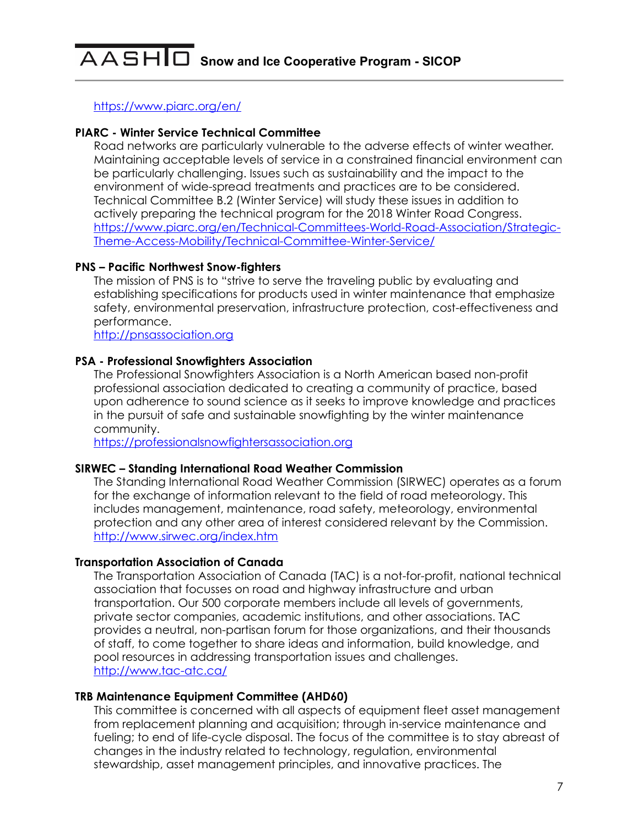<https://www.piarc.org/en/>

### **PIARC - Winter Service Technical Committee**

Road networks are particularly vulnerable to the adverse effects of winter weather. Maintaining acceptable levels of service in a constrained financial environment can be particularly challenging. Issues such as sustainability and the impact to the environment of wide-spread treatments and practices are to be considered. Technical Committee B.2 (Winter Service) will study these issues in addition to actively preparing the technical program for the 2018 Winter Road Congress. [https://www.piarc.org/en/Technical-Committees-World-Road-Association/Strategic-](https://www.piarc.org/en/Technical-Committees-World-Road-Association/Strategic-Theme-Access-Mobility/Technical-Committee-Winter-Service/)[Theme-Access-Mobility/Technical-Committee-Winter-Service/](https://www.piarc.org/en/Technical-Committees-World-Road-Association/Strategic-Theme-Access-Mobility/Technical-Committee-Winter-Service/)

### **PNS – Pacific Northwest Snow-fighters**

The mission of PNS is to "strive to serve the traveling public by evaluating and establishing specifications for products used in winter maintenance that emphasize safety, environmental preservation, infrastructure protection, cost-effectiveness and performance.

<http://pnsassociation.org>

### **PSA - Professional Snowfighters Association**

The Professional Snowfighters Association is a North American based non-profit professional association dedicated to creating a community of practice, based upon adherence to sound science as it seeks to improve knowledge and practices in the pursuit of safe and sustainable snowfighting by the winter maintenance community.

<https://professionalsnowfightersassociation.org>

#### **SIRWEC – Standing International Road Weather Commission**

The Standing International Road Weather Commission (SIRWEC) operates as a forum for the exchange of information relevant to the field of road meteorology. This includes management, maintenance, road safety, meteorology, environmental protection and any other area of interest considered relevant by the Commission. <http://www.sirwec.org/index.htm>

### **Transportation Association of Canada**

The Transportation Association of Canada (TAC) is a not-for-profit, national technical association that focusses on road and highway infrastructure and urban transportation. Our 500 corporate members include all levels of governments, private sector companies, academic institutions, and other associations. TAC provides a neutral, non-partisan forum for those organizations, and their thousands of staff, to come together to share ideas and information, build knowledge, and pool resources in addressing transportation issues and challenges. <http://www.tac-atc.ca/>

### **TRB Maintenance Equipment Committee (AHD60)**

This committee is concerned with all aspects of equipment fleet asset management from replacement planning and acquisition; through in-service maintenance and fueling; to end of life-cycle disposal. The focus of the committee is to stay abreast of changes in the industry related to technology, regulation, environmental stewardship, asset management principles, and innovative practices. The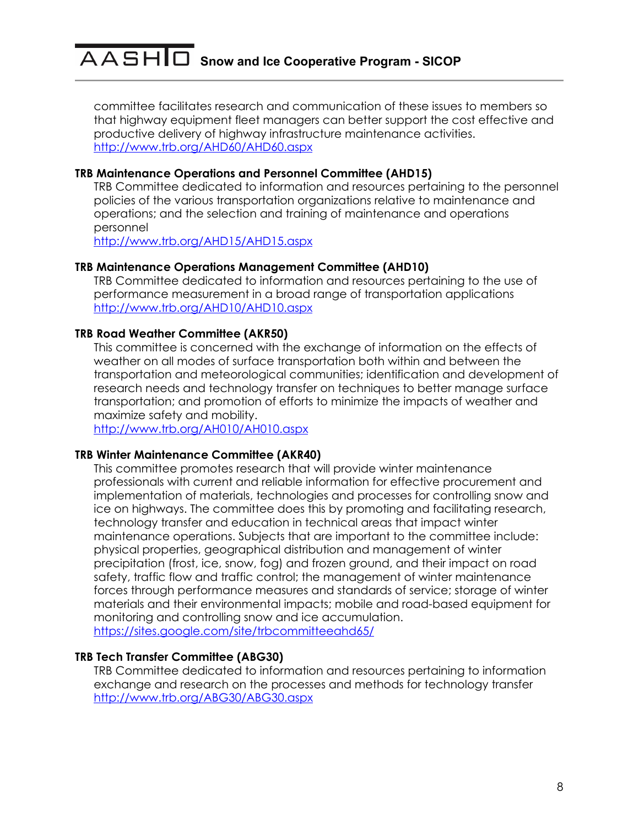committee facilitates research and communication of these issues to members so that highway equipment fleet managers can better support the cost effective and productive delivery of highway infrastructure maintenance activities. <http://www.trb.org/AHD60/AHD60.aspx>

### **TRB Maintenance Operations and Personnel Committee (AHD15)**

TRB Committee dedicated to information and resources pertaining to the personnel policies of the various transportation organizations relative to maintenance and operations; and the selection and training of maintenance and operations personnel

<http://www.trb.org/AHD15/AHD15.aspx>

#### **TRB Maintenance Operations Management Committee (AHD10)**

TRB Committee dedicated to information and resources pertaining to the use of performance measurement in a broad range of transportation applications <http://www.trb.org/AHD10/AHD10.aspx>

### **TRB Road Weather Committee (AKR50)**

This committee is concerned with the exchange of information on the effects of weather on all modes of surface transportation both within and between the transportation and meteorological communities; identification and development of research needs and technology transfer on techniques to better manage surface transportation; and promotion of efforts to minimize the impacts of weather and maximize safety and mobility.

<http://www.trb.org/AH010/AH010.aspx>

#### **TRB Winter Maintenance Committee (AKR40)**

This committee promotes research that will provide winter maintenance professionals with current and reliable information for effective procurement and implementation of materials, technologies and processes for controlling snow and ice on highways. The committee does this by promoting and facilitating research, technology transfer and education in technical areas that impact winter maintenance operations. Subjects that are important to the committee include: physical properties, geographical distribution and management of winter precipitation (frost, ice, snow, fog) and frozen ground, and their impact on road safety, traffic flow and traffic control; the management of winter maintenance forces through performance measures and standards of service; storage of winter materials and their environmental impacts; mobile and road-based equipment for monitoring and controlling snow and ice accumulation. <https://sites.google.com/site/trbcommitteeahd65/>

### **TRB Tech Transfer Committee (ABG30)**

TRB Committee dedicated to information and resources pertaining to information exchange and research on the processes and methods for technology transfer <http://www.trb.org/ABG30/ABG30.aspx>